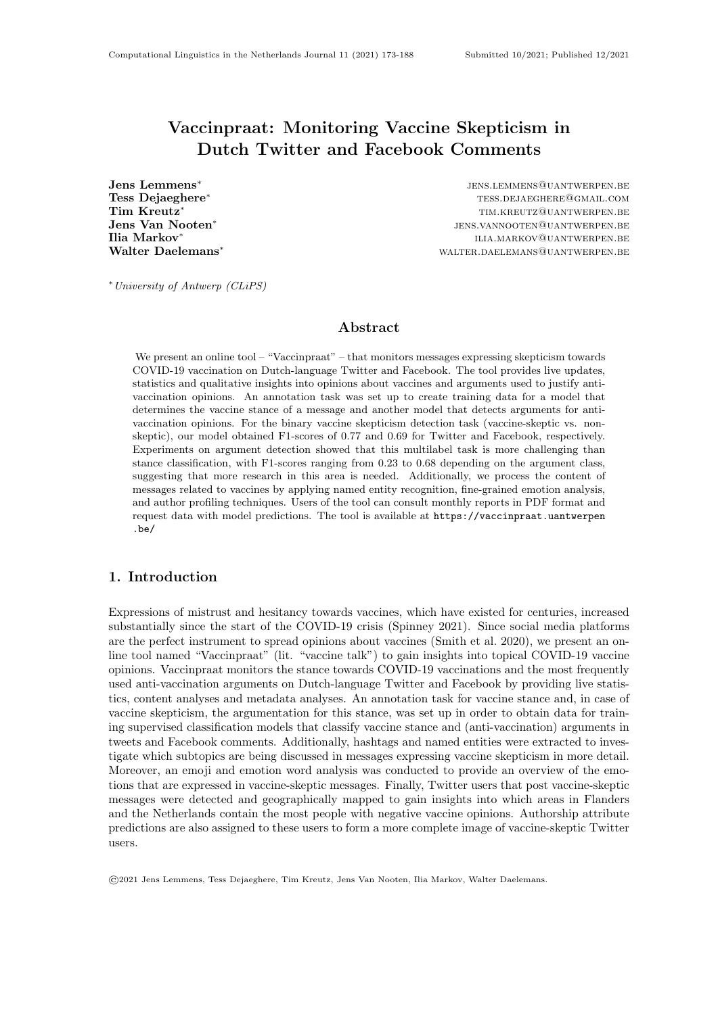## Vaccinpraat: Monitoring Vaccine Skepticism in Dutch Twitter and Facebook Comments

Jens Lemmens<sup>∗</sup> Jens Van Nooten<sup>∗</sup> Ilia Markov<sup>∗</sup>

jens.lemmens@uantwerpen.be Tess Dejaeghere<sup>∗</sup> tess.dejaeghere<sup>∗</sup> tess.dejaeghere<sup>\*</sup> Tim Kreutz<sup>\*</sup> time.kreutz<sup>\*</sup> times the set of the set of the set of the set of the set of the set of the set of the set of the set of the set of the set of the set of the set of the set of the set of the set of the set of jens.vannooten@uantwerpen.be ilia.markov@uantwerpen.be Walter Daelemans<sup>∗</sup> walter between water and walter between the walter of the manufacture of the manufacture of the manufacture of the manufacture of the manufacture of the manufacture of the manufacture of the manufactur

<sup>∗</sup>University of Antwerp (CLiPS)

### Abstract

We present an online tool – "Vaccinpraat" – that monitors messages expressing skepticism towards COVID-19 vaccination on Dutch-language Twitter and Facebook. The tool provides live updates, statistics and qualitative insights into opinions about vaccines and arguments used to justify antivaccination opinions. An annotation task was set up to create training data for a model that determines the vaccine stance of a message and another model that detects arguments for antivaccination opinions. For the binary vaccine skepticism detection task (vaccine-skeptic vs. nonskeptic), our model obtained F1-scores of 0.77 and 0.69 for Twitter and Facebook, respectively. Experiments on argument detection showed that this multilabel task is more challenging than stance classification, with F1-scores ranging from 0.23 to 0.68 depending on the argument class, suggesting that more research in this area is needed. Additionally, we process the content of messages related to vaccines by applying named entity recognition, fine-grained emotion analysis, and author profiling techniques. Users of the tool can consult monthly reports in PDF format and request data with model predictions. The tool is available at [https://vaccinpraat.uantwerpen](https://vaccinpraat.uantwerpen.be/) [.be/](https://vaccinpraat.uantwerpen.be/)

## 1. Introduction

Expressions of mistrust and hesitancy towards vaccines, which have existed for centuries, increased substantially since the start of the COVID-19 crisis (Spinney 2021). Since social media platforms are the perfect instrument to spread opinions about vaccines (Smith et al. 2020), we present an online tool named "Vaccinpraat" (lit. "vaccine talk") to gain insights into topical COVID-19 vaccine opinions. Vaccinpraat monitors the stance towards COVID-19 vaccinations and the most frequently used anti-vaccination arguments on Dutch-language Twitter and Facebook by providing live statistics, content analyses and metadata analyses. An annotation task for vaccine stance and, in case of vaccine skepticism, the argumentation for this stance, was set up in order to obtain data for training supervised classification models that classify vaccine stance and (anti-vaccination) arguments in tweets and Facebook comments. Additionally, hashtags and named entities were extracted to investigate which subtopics are being discussed in messages expressing vaccine skepticism in more detail. Moreover, an emoji and emotion word analysis was conducted to provide an overview of the emotions that are expressed in vaccine-skeptic messages. Finally, Twitter users that post vaccine-skeptic messages were detected and geographically mapped to gain insights into which areas in Flanders and the Netherlands contain the most people with negative vaccine opinions. Authorship attribute predictions are also assigned to these users to form a more complete image of vaccine-skeptic Twitter users.

©2021 Jens Lemmens, Tess Dejaeghere, Tim Kreutz, Jens Van Nooten, Ilia Markov, Walter Daelemans.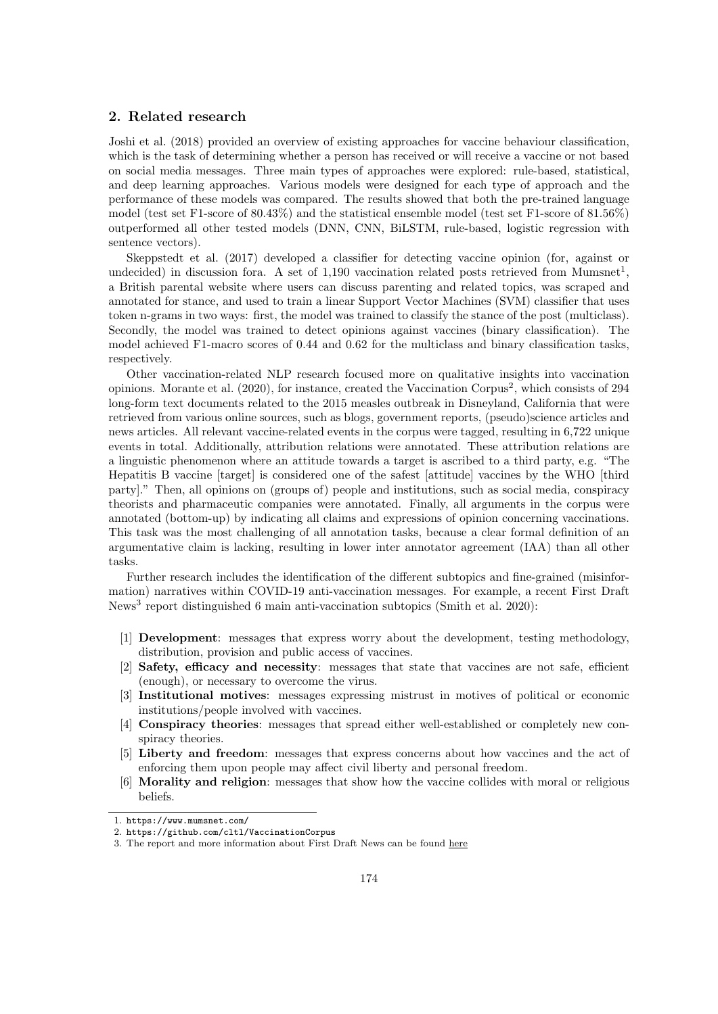## <span id="page-1-3"></span>2. Related research

Joshi et al. (2018) provided an overview of existing approaches for vaccine behaviour classification, which is the task of determining whether a person has received or will receive a vaccine or not based on social media messages. Three main types of approaches were explored: rule-based, statistical, and deep learning approaches. Various models were designed for each type of approach and the performance of these models was compared. The results showed that both the pre-trained language model (test set F1-score of 80.43%) and the statistical ensemble model (test set F1-score of 81.56%) outperformed all other tested models (DNN, CNN, BiLSTM, rule-based, logistic regression with sentence vectors).

Skeppstedt et al. (2017) developed a classifier for detecting vaccine opinion (for, against or undecided) in discussion fora. A set of  $1,190$  $1,190$  vaccination related posts retrieved from Mumsnet<sup>1</sup>, a British parental website where users can discuss parenting and related topics, was scraped and annotated for stance, and used to train a linear Support Vector Machines (SVM) classifier that uses token n-grams in two ways: first, the model was trained to classify the stance of the post (multiclass). Secondly, the model was trained to detect opinions against vaccines (binary classification). The model achieved F1-macro scores of 0.44 and 0.62 for the multiclass and binary classification tasks, respectively.

Other vaccination-related NLP research focused more on qualitative insights into vaccination opinions. Morante et al. ([2](#page-1-1)020), for instance, created the Vaccination Corpus<sup>2</sup>, which consists of 294 long-form text documents related to the 2015 measles outbreak in Disneyland, California that were retrieved from various online sources, such as blogs, government reports, (pseudo)science articles and news articles. All relevant vaccine-related events in the corpus were tagged, resulting in 6,722 unique events in total. Additionally, attribution relations were annotated. These attribution relations are a linguistic phenomenon where an attitude towards a target is ascribed to a third party, e.g. "The Hepatitis B vaccine [target] is considered one of the safest [attitude] vaccines by the WHO [third party]." Then, all opinions on (groups of) people and institutions, such as social media, conspiracy theorists and pharmaceutic companies were annotated. Finally, all arguments in the corpus were annotated (bottom-up) by indicating all claims and expressions of opinion concerning vaccinations. This task was the most challenging of all annotation tasks, because a clear formal definition of an argumentative claim is lacking, resulting in lower inter annotator agreement (IAA) than all other tasks.

Further research includes the identification of the different subtopics and fine-grained (misinformation) narratives within COVID-19 anti-vaccination messages. For example, a recent First Draft News<sup>[3](#page-1-2)</sup> report distinguished 6 main anti-vaccination subtopics (Smith et al. 2020):

- [1] Development: messages that express worry about the development, testing methodology, distribution, provision and public access of vaccines.
- [2] Safety, efficacy and necessity: messages that state that vaccines are not safe, efficient (enough), or necessary to overcome the virus.
- [3] Institutional motives: messages expressing mistrust in motives of political or economic institutions/people involved with vaccines.
- [4] Conspiracy theories: messages that spread either well-established or completely new conspiracy theories.
- [5] Liberty and freedom: messages that express concerns about how vaccines and the act of enforcing them upon people may affect civil liberty and personal freedom.
- [6] Morality and religion: messages that show how the vaccine collides with moral or religious beliefs.

<span id="page-1-0"></span><sup>1.</sup> <https://www.mumsnet.com/>

<span id="page-1-1"></span><sup>2.</sup> <https://github.com/cltl/VaccinationCorpus>

<span id="page-1-2"></span><sup>3.</sup> The report and more information about First Draft News can be found [here](https://firstdraftnews.org/long-form-article/under-the-surface-covid-19-vaccine-narratives-misinformation-and-data-deficits-on-social-media/)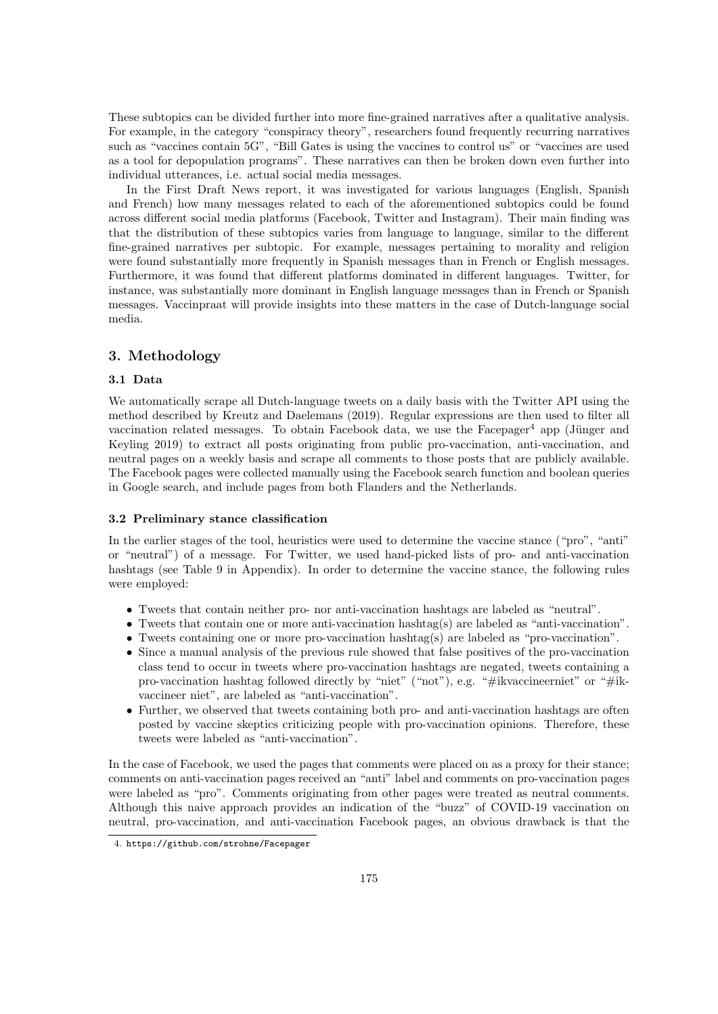These subtopics can be divided further into more fine-grained narratives after a qualitative analysis. For example, in the category "conspiracy theory", researchers found frequently recurring narratives such as "vaccines contain 5G", "Bill Gates is using the vaccines to control us" or "vaccines are used as a tool for depopulation programs". These narratives can then be broken down even further into individual utterances, i.e. actual social media messages.

In the First Draft News report, it was investigated for various languages (English, Spanish and French) how many messages related to each of the aforementioned subtopics could be found across different social media platforms (Facebook, Twitter and Instagram). Their main finding was that the distribution of these subtopics varies from language to language, similar to the different fine-grained narratives per subtopic. For example, messages pertaining to morality and religion were found substantially more frequently in Spanish messages than in French or English messages. Furthermore, it was found that different platforms dominated in different languages. Twitter, for instance, was substantially more dominant in English language messages than in French or Spanish messages. Vaccinpraat will provide insights into these matters in the case of Dutch-language social media.

## 3. Methodology

#### 3.1 Data

We automatically scrape all Dutch-language tweets on a daily basis with the Twitter API using the method described by Kreutz and Daelemans (2019). Regular expressions are then used to filter all vaccination related messages. To obtain Facebook data, we use the Facepager<sup>[4](#page-2-0)</sup> app (Jünger and Keyling 2019) to extract all posts originating from public pro-vaccination, anti-vaccination, and neutral pages on a weekly basis and scrape all comments to those posts that are publicly available. The Facebook pages were collected manually using the Facebook search function and boolean queries in Google search, and include pages from both Flanders and the Netherlands.

#### <span id="page-2-1"></span>3.2 Preliminary stance classification

In the earlier stages of the tool, heuristics were used to determine the vaccine stance ("pro", "anti" or "neutral") of a message. For Twitter, we used hand-picked lists of pro- and anti-vaccination hashtags (see Table [9](#page-15-0) in Appendix). In order to determine the vaccine stance, the following rules were employed:

- Tweets that contain neither pro- nor anti-vaccination hashtags are labeled as "neutral".
- Tweets that contain one or more anti-vaccination hashtag(s) are labeled as "anti-vaccination".
- Tweets containing one or more pro-vaccination hashtag(s) are labeled as "pro-vaccination".
- Since a manual analysis of the previous rule showed that false positives of the pro-vaccination class tend to occur in tweets where pro-vaccination hashtags are negated, tweets containing a pro-vaccination hashtag followed directly by "niet" ("not"), e.g. "#ikvaccineerniet" or "#ikvaccineer niet", are labeled as "anti-vaccination".
- Further, we observed that tweets containing both pro- and anti-vaccination hashtags are often posted by vaccine skeptics criticizing people with pro-vaccination opinions. Therefore, these tweets were labeled as "anti-vaccination".

In the case of Facebook, we used the pages that comments were placed on as a proxy for their stance; comments on anti-vaccination pages received an "anti" label and comments on pro-vaccination pages were labeled as "pro". Comments originating from other pages were treated as neutral comments. Although this naive approach provides an indication of the "buzz" of COVID-19 vaccination on neutral, pro-vaccination, and anti-vaccination Facebook pages, an obvious drawback is that the

<span id="page-2-0"></span><sup>4.</sup> <https://github.com/strohne/Facepager>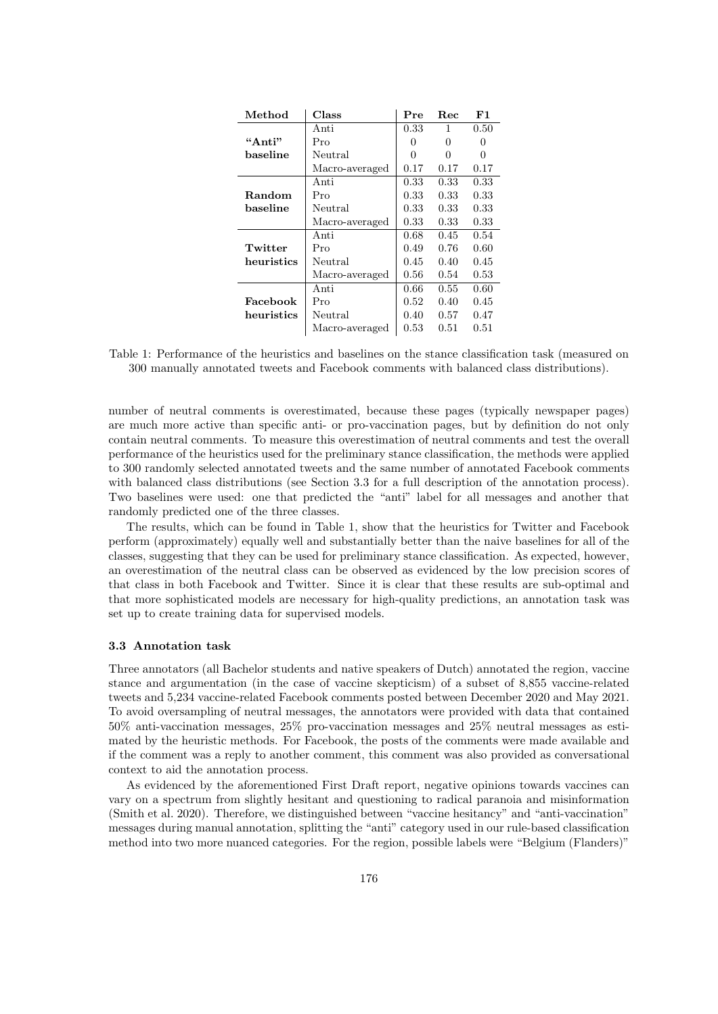<span id="page-3-1"></span>

| Method     | Class          | Pre          | <b>Rec</b> | F1           |
|------------|----------------|--------------|------------|--------------|
|            | Anti           | 0.33         | 1          | 0.50         |
| "Anti"     | Pro            | $\mathbf{0}$ | 0          | $\mathbf{0}$ |
| baseline   | Neutral        | ∩            | 0          | 0            |
|            | Macro-averaged | 0.17         | 0.17       | 0.17         |
|            | Anti           | 0.33         | 0.33       | 0.33         |
| Random     | Pro            | 0.33         | 0.33       | $0.33\,$     |
| baseline   | Neutral        | 0.33         | 0.33       | $0.33\,$     |
|            | Macro-averaged | 0.33         | 0.33       | 0.33         |
|            | Anti           | 0.68         | 0.45       | 0.54         |
| Twitter    | Pro            | 0.49         | 0.76       | 0.60         |
| heuristics | Neutral        | 0.45         | 0.40       | 0.45         |
|            | Macro-averaged | 0.56         | 0.54       | $0.53\,$     |
|            | Anti           | 0.66         | 0.55       | 0.60         |
| Facebook   | Pro            | 0.52         | 0.40       | 0.45         |
| heuristics | Neutral        | 0.40         | 0.57       | 0.47         |
|            | Macro-averaged | 0.53         | 0.51       | 0.51         |

Table 1: Performance of the heuristics and baselines on the stance classification task (measured on 300 manually annotated tweets and Facebook comments with balanced class distributions).

number of neutral comments is overestimated, because these pages (typically newspaper pages) are much more active than specific anti- or pro-vaccination pages, but by definition do not only contain neutral comments. To measure this overestimation of neutral comments and test the overall performance of the heuristics used for the preliminary stance classification, the methods were applied to 300 randomly selected annotated tweets and the same number of annotated Facebook comments with balanced class distributions (see Section [3.3](#page-3-0) for a full description of the annotation process). Two baselines were used: one that predicted the "anti" label for all messages and another that randomly predicted one of the three classes.

The results, which can be found in Table [1,](#page-3-1) show that the heuristics for Twitter and Facebook perform (approximately) equally well and substantially better than the naive baselines for all of the classes, suggesting that they can be used for preliminary stance classification. As expected, however, an overestimation of the neutral class can be observed as evidenced by the low precision scores of that class in both Facebook and Twitter. Since it is clear that these results are sub-optimal and that more sophisticated models are necessary for high-quality predictions, an annotation task was set up to create training data for supervised models.

#### <span id="page-3-0"></span>3.3 Annotation task

Three annotators (all Bachelor students and native speakers of Dutch) annotated the region, vaccine stance and argumentation (in the case of vaccine skepticism) of a subset of 8,855 vaccine-related tweets and 5,234 vaccine-related Facebook comments posted between December 2020 and May 2021. To avoid oversampling of neutral messages, the annotators were provided with data that contained 50% anti-vaccination messages, 25% pro-vaccination messages and 25% neutral messages as estimated by the heuristic methods. For Facebook, the posts of the comments were made available and if the comment was a reply to another comment, this comment was also provided as conversational context to aid the annotation process.

As evidenced by the aforementioned First Draft report, negative opinions towards vaccines can vary on a spectrum from slightly hesitant and questioning to radical paranoia and misinformation (Smith et al. 2020). Therefore, we distinguished between "vaccine hesitancy" and "anti-vaccination" messages during manual annotation, splitting the "anti" category used in our rule-based classification method into two more nuanced categories. For the region, possible labels were "Belgium (Flanders)"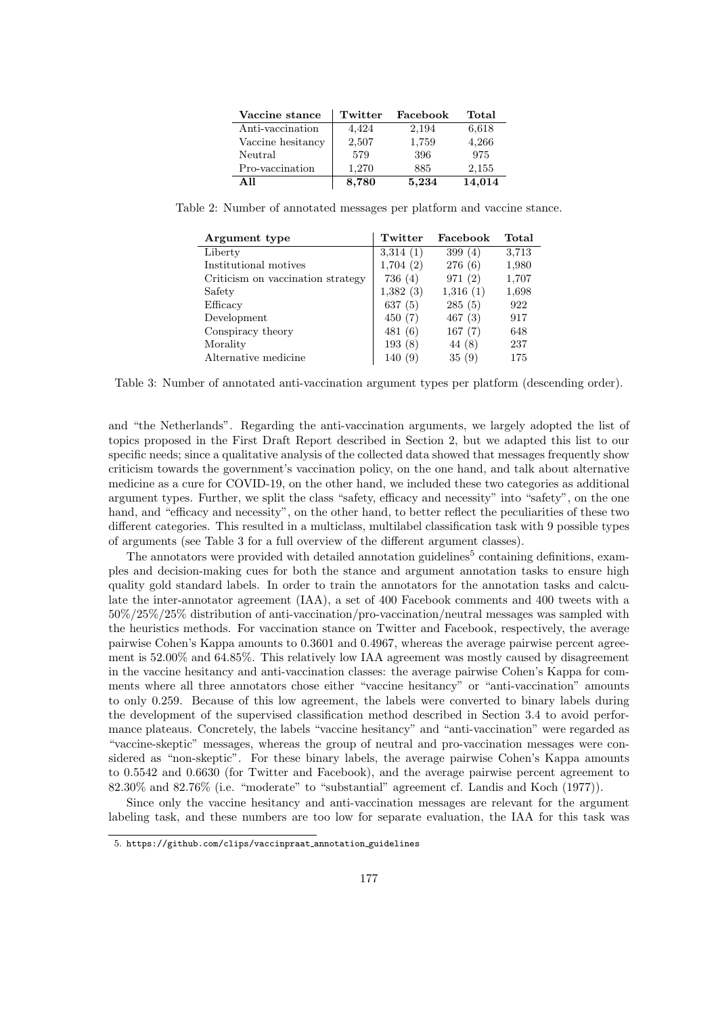| Vaccine stance    | Twitter | Facebook | Total  |
|-------------------|---------|----------|--------|
| Anti-vaccination  | 4.424   | 2,194    | 6,618  |
| Vaccine hesitancy | 2,507   | 1,759    | 4,266  |
| Neutral           | 579     | 396      | 975    |
| Pro-vaccination   | 1,270   | 885      | 2,155  |
| A 11              | 8,780   | 5.234    | 14,014 |

<span id="page-4-2"></span><span id="page-4-0"></span>Table 2: Number of annotated messages per platform and vaccine stance.

| Argument type                     | Twitter  | Facebook  | Total |
|-----------------------------------|----------|-----------|-------|
| Liberty                           | 3,314(1) | 399 $(4)$ | 3,713 |
| Institutional motives             | 1,704(2) | 276(6)    | 1,980 |
| Criticism on vaccination strategy | 736(4)   | 971(2)    | 1,707 |
| Safety                            | 1,382(3) | 1,316(1)  | 1,698 |
| Efficacy                          | 637(5)   | 285(5)    | 922   |
| Development                       | 450(7)   | 467(3)    | 917   |
| Conspiracy theory                 | 481(6)   | 167(7)    | 648   |
| Morality                          | 193(8)   | 44 (8)    | 237   |
| Alternative medicine              | 140(9)   | 35(9)     | 175   |

Table 3: Number of annotated anti-vaccination argument types per platform (descending order).

and "the Netherlands". Regarding the anti-vaccination arguments, we largely adopted the list of topics proposed in the First Draft Report described in Section [2,](#page-1-3) but we adapted this list to our specific needs; since a qualitative analysis of the collected data showed that messages frequently show criticism towards the government's vaccination policy, on the one hand, and talk about alternative medicine as a cure for COVID-19, on the other hand, we included these two categories as additional argument types. Further, we split the class "safety, efficacy and necessity" into "safety", on the one hand, and "efficacy and necessity", on the other hand, to better reflect the peculiarities of these two different categories. This resulted in a multiclass, multilabel classification task with 9 possible types of arguments (see Table [3](#page-4-0) for a full overview of the different argument classes).

The annotators were provided with detailed annotation guidelines<sup>[5](#page-4-1)</sup> containing definitions, examples and decision-making cues for both the stance and argument annotation tasks to ensure high quality gold standard labels. In order to train the annotators for the annotation tasks and calculate the inter-annotator agreement (IAA), a set of 400 Facebook comments and 400 tweets with a 50%/25%/25% distribution of anti-vaccination/pro-vaccination/neutral messages was sampled with the heuristics methods. For vaccination stance on Twitter and Facebook, respectively, the average pairwise Cohen's Kappa amounts to 0.3601 and 0.4967, whereas the average pairwise percent agreement is 52.00% and 64.85%. This relatively low IAA agreement was mostly caused by disagreement in the vaccine hesitancy and anti-vaccination classes: the average pairwise Cohen's Kappa for comments where all three annotators chose either "vaccine hesitancy" or "anti-vaccination" amounts to only 0.259. Because of this low agreement, the labels were converted to binary labels during the development of the supervised classification method described in Section [3.4](#page-5-0) to avoid performance plateaus. Concretely, the labels "vaccine hesitancy" and "anti-vaccination" were regarded as "vaccine-skeptic" messages, whereas the group of neutral and pro-vaccination messages were considered as "non-skeptic". For these binary labels, the average pairwise Cohen's Kappa amounts to 0.5542 and 0.6630 (for Twitter and Facebook), and the average pairwise percent agreement to 82.30% and 82.76% (i.e. "moderate" to "substantial" agreement cf. Landis and Koch (1977)).

Since only the vaccine hesitancy and anti-vaccination messages are relevant for the argument labeling task, and these numbers are too low for separate evaluation, the IAA for this task was

<span id="page-4-1"></span><sup>5.</sup> [https://github.com/clips/vaccinpraat](https://github.com/clips/vaccinpraat_annotation_guidelines) annotation guidelines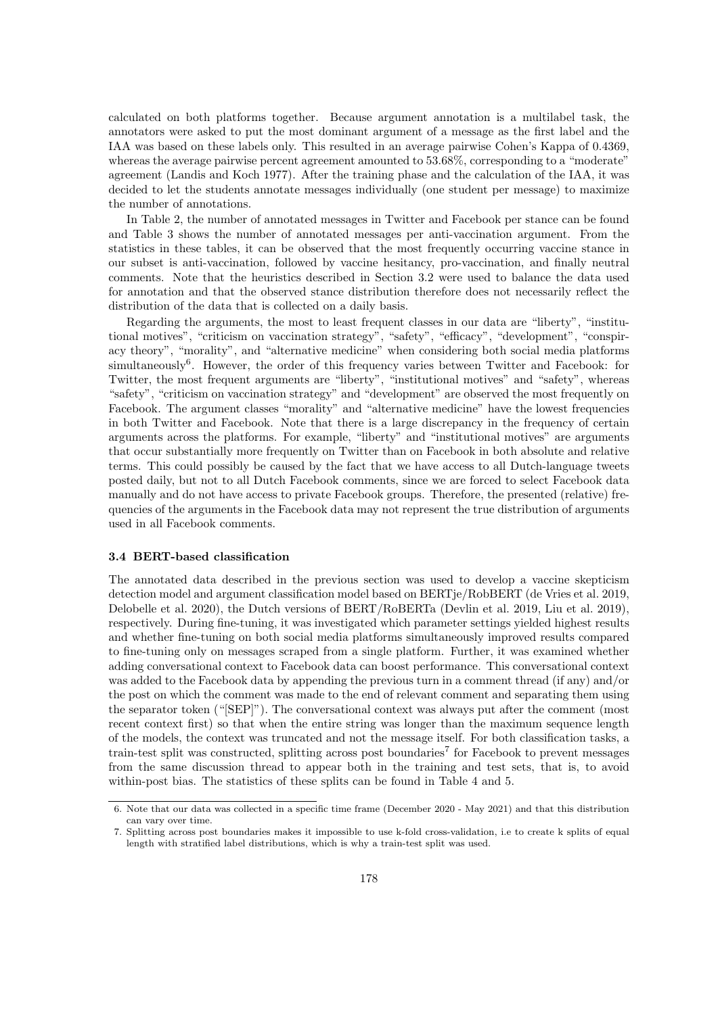calculated on both platforms together. Because argument annotation is a multilabel task, the annotators were asked to put the most dominant argument of a message as the first label and the IAA was based on these labels only. This resulted in an average pairwise Cohen's Kappa of 0.4369, whereas the average pairwise percent agreement amounted to 53.68%, corresponding to a "moderate" agreement (Landis and Koch 1977). After the training phase and the calculation of the IAA, it was decided to let the students annotate messages individually (one student per message) to maximize the number of annotations.

In Table [2,](#page-4-2) the number of annotated messages in Twitter and Facebook per stance can be found and Table [3](#page-4-0) shows the number of annotated messages per anti-vaccination argument. From the statistics in these tables, it can be observed that the most frequently occurring vaccine stance in our subset is anti-vaccination, followed by vaccine hesitancy, pro-vaccination, and finally neutral comments. Note that the heuristics described in Section [3.2](#page-2-1) were used to balance the data used for annotation and that the observed stance distribution therefore does not necessarily reflect the distribution of the data that is collected on a daily basis.

Regarding the arguments, the most to least frequent classes in our data are "liberty", "institutional motives", "criticism on vaccination strategy", "safety", "efficacy", "development", "conspiracy theory", "morality", and "alternative medicine" when considering both social media platforms simultaneously<sup>[6](#page-5-1)</sup>. However, the order of this frequency varies between Twitter and Facebook: for Twitter, the most frequent arguments are "liberty", "institutional motives" and "safety", whereas "safety", "criticism on vaccination strategy" and "development" are observed the most frequently on Facebook. The argument classes "morality" and "alternative medicine" have the lowest frequencies in both Twitter and Facebook. Note that there is a large discrepancy in the frequency of certain arguments across the platforms. For example, "liberty" and "institutional motives" are arguments that occur substantially more frequently on Twitter than on Facebook in both absolute and relative terms. This could possibly be caused by the fact that we have access to all Dutch-language tweets posted daily, but not to all Dutch Facebook comments, since we are forced to select Facebook data manually and do not have access to private Facebook groups. Therefore, the presented (relative) frequencies of the arguments in the Facebook data may not represent the true distribution of arguments used in all Facebook comments.

#### <span id="page-5-0"></span>3.4 BERT-based classification

The annotated data described in the previous section was used to develop a vaccine skepticism detection model and argument classification model based on BERTje/RobBERT (de Vries et al. 2019, Delobelle et al. 2020), the Dutch versions of BERT/RoBERTa (Devlin et al. 2019, Liu et al. 2019), respectively. During fine-tuning, it was investigated which parameter settings yielded highest results and whether fine-tuning on both social media platforms simultaneously improved results compared to fine-tuning only on messages scraped from a single platform. Further, it was examined whether adding conversational context to Facebook data can boost performance. This conversational context was added to the Facebook data by appending the previous turn in a comment thread (if any) and/or the post on which the comment was made to the end of relevant comment and separating them using the separator token ("[SEP]"). The conversational context was always put after the comment (most recent context first) so that when the entire string was longer than the maximum sequence length of the models, the context was truncated and not the message itself. For both classification tasks, a train-test split was constructed, splitting across post boundaries<sup>[7](#page-5-2)</sup> for Facebook to prevent messages from the same discussion thread to appear both in the training and test sets, that is, to avoid within-post bias. The statistics of these splits can be found in Table [4](#page-6-0) and [5.](#page-6-1)

<span id="page-5-1"></span><sup>6.</sup> Note that our data was collected in a specific time frame (December 2020 - May 2021) and that this distribution can vary over time.

<span id="page-5-2"></span><sup>7.</sup> Splitting across post boundaries makes it impossible to use k-fold cross-validation, i.e to create k splits of equal length with stratified label distributions, which is why a train-test split was used.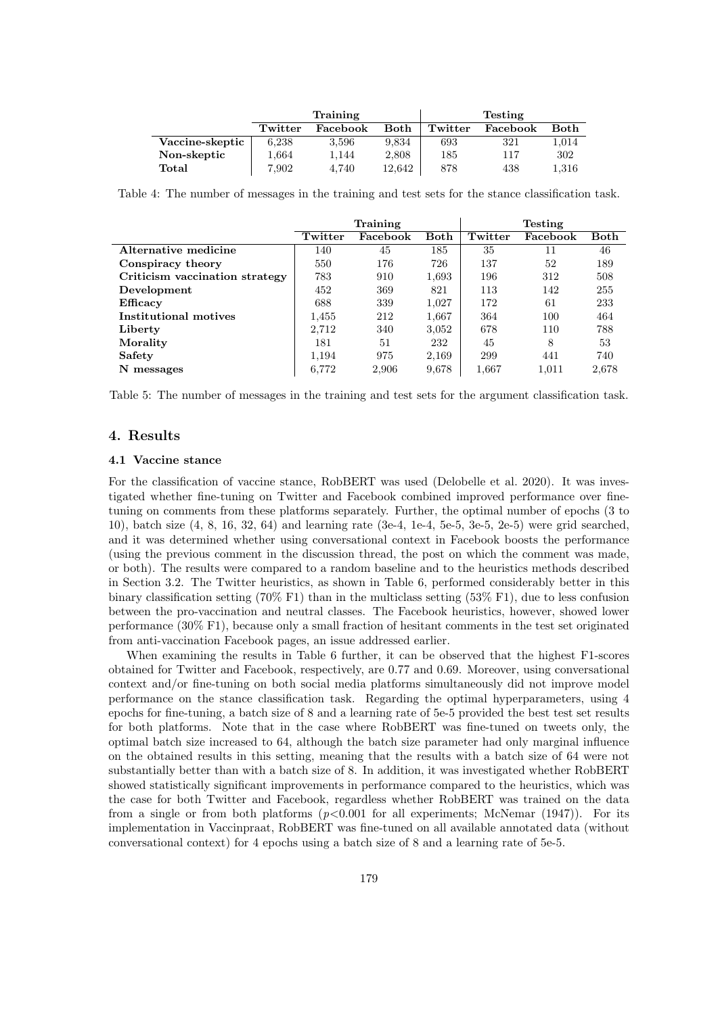<span id="page-6-0"></span>

|                 | Training |          |        | <b>Testing</b> |          |       |
|-----------------|----------|----------|--------|----------------|----------|-------|
|                 | Twitter  | Facebook | Both   | Twitter        | Facebook | Both  |
| Vaccine-skeptic | 6.238    | 3.596    | 9.834  | 693            | 321      | 1,014 |
| Non-skeptic     | 1,664    | 1.144    | 2,808  | 185            | 117      | 302   |
| Total           | 7,902    | 4.740    | 12.642 | 878            | 438      | 1,316 |

Table 4: The number of messages in the training and test sets for the stance classification task.

<span id="page-6-1"></span>

|                                | Training |          |       | <b>Testing</b> |          |       |
|--------------------------------|----------|----------|-------|----------------|----------|-------|
|                                | Twitter  | Facebook | Both  | Twitter        | Facebook | Both  |
| Alternative medicine           | 140      | 45       | 185   | 35             | 11       | 46    |
| Conspiracy theory              | 550      | 176      | 726   | 137            | 52       | 189   |
| Criticism vaccination strategy | 783      | 910      | 1,693 | 196            | 312      | 508   |
| Development                    | 452      | 369      | 821   | 113            | 142      | 255   |
| Efficacy                       | 688      | 339      | 1.027 | 172            | 61       | 233   |
| Institutional motives          | 1,455    | 212      | 1,667 | 364            | 100      | 464   |
| Liberty                        | 2.712    | 340      | 3,052 | 678            | 110      | 788   |
| Morality                       | 181      | 51       | 232   | 45             | 8        | 53    |
| Safety                         | 1.194    | 975      | 2,169 | 299            | 441      | 740   |
| N messages                     | 6.772    | 2,906    | 9,678 | 1.667          | 1,011    | 2,678 |

Table 5: The number of messages in the training and test sets for the argument classification task.

#### 4. Results

#### 4.1 Vaccine stance

For the classification of vaccine stance, RobBERT was used (Delobelle et al. 2020). It was investigated whether fine-tuning on Twitter and Facebook combined improved performance over finetuning on comments from these platforms separately. Further, the optimal number of epochs (3 to 10), batch size (4, 8, 16, 32, 64) and learning rate (3e-4, 1e-4, 5e-5, 3e-5, 2e-5) were grid searched, and it was determined whether using conversational context in Facebook boosts the performance (using the previous comment in the discussion thread, the post on which the comment was made, or both). The results were compared to a random baseline and to the heuristics methods described in Section [3.2.](#page-2-1) The Twitter heuristics, as shown in Table [6,](#page-7-0) performed considerably better in this binary classification setting (70% F1) than in the multiclass setting (53% F1), due to less confusion between the pro-vaccination and neutral classes. The Facebook heuristics, however, showed lower performance (30% F1), because only a small fraction of hesitant comments in the test set originated from anti-vaccination Facebook pages, an issue addressed earlier.

When examining the results in Table [6](#page-7-0) further, it can be observed that the highest F1-scores obtained for Twitter and Facebook, respectively, are 0.77 and 0.69. Moreover, using conversational context and/or fine-tuning on both social media platforms simultaneously did not improve model performance on the stance classification task. Regarding the optimal hyperparameters, using 4 epochs for fine-tuning, a batch size of 8 and a learning rate of 5e-5 provided the best test set results for both platforms. Note that in the case where RobBERT was fine-tuned on tweets only, the optimal batch size increased to 64, although the batch size parameter had only marginal influence on the obtained results in this setting, meaning that the results with a batch size of 64 were not substantially better than with a batch size of 8. In addition, it was investigated whether RobBERT showed statistically significant improvements in performance compared to the heuristics, which was the case for both Twitter and Facebook, regardless whether RobBERT was trained on the data from a single or from both platforms  $(p<0.001$  for all experiments; McNemar (1947)). For its implementation in Vaccinpraat, RobBERT was fine-tuned on all available annotated data (without conversational context) for 4 epochs using a batch size of 8 and a learning rate of 5e-5.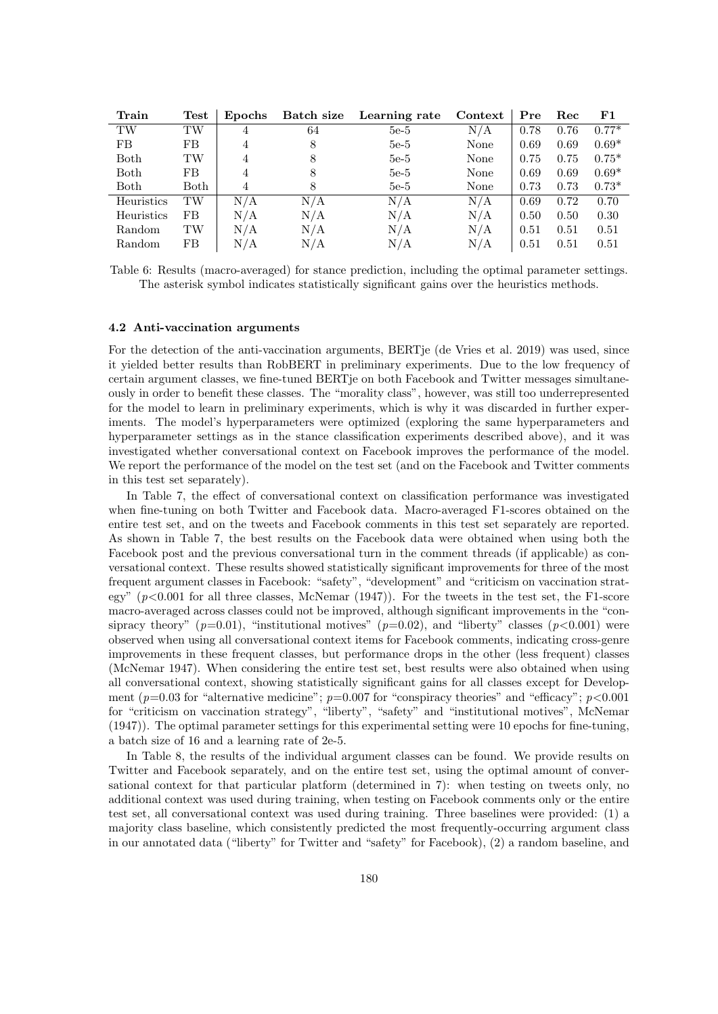<span id="page-7-0"></span>

| Train         | $\operatorname{\mathrm{\mathbf{Test}}}$ | <b>Epochs</b> | Batch size | Learning rate | Context | Pre  | Rec  | F1      |
|---------------|-----------------------------------------|---------------|------------|---------------|---------|------|------|---------|
| TW            | $_{\rm{TW}}$                            | 4             | 64         | $5e-5$        | N/A     | 0.78 | 0.76 | $0.77*$ |
| FB            | FB                                      | 4             | 8          | $5e-5$        | None    | 0.69 | 0.69 | $0.69*$ |
| Both          | TW                                      | 4             |            | $5e-5$        | None    | 0.75 | 0.75 | $0.75*$ |
| Both          | FB                                      | 4             |            | $5e-5$        | None    | 0.69 | 0.69 | $0.69*$ |
| Both          | Both                                    | 4             | 8          | $5e-5$        | None    | 0.73 | 0.73 | $0.73*$ |
| Heuristics    | $_{\rm TW}$                             | $\rm N/A$     | N/A        | N/A           | N/A     | 0.69 | 0.72 | 0.70    |
| Heuristics    | FB                                      | N/A           | N/A        | N/A           | N/A     | 0.50 | 0.50 | 0.30    |
| <b>Random</b> | TW                                      | N/A           | N/A        | N/A           | N/A     | 0.51 | 0.51 | 0.51    |
| Random        | FB                                      | N/A           | N/A        | N/A           | N/A     | 0.51 | 0.51 | 0.51    |

Table 6: Results (macro-averaged) for stance prediction, including the optimal parameter settings. The asterisk symbol indicates statistically significant gains over the heuristics methods.

#### 4.2 Anti-vaccination arguments

For the detection of the anti-vaccination arguments, BERT ie (de Vries et al. 2019) was used, since it yielded better results than RobBERT in preliminary experiments. Due to the low frequency of certain argument classes, we fine-tuned BERTje on both Facebook and Twitter messages simultaneously in order to benefit these classes. The "morality class", however, was still too underrepresented for the model to learn in preliminary experiments, which is why it was discarded in further experiments. The model's hyperparameters were optimized (exploring the same hyperparameters and hyperparameter settings as in the stance classification experiments described above), and it was investigated whether conversational context on Facebook improves the performance of the model. We report the performance of the model on the test set (and on the Facebook and Twitter comments in this test set separately).

In Table [7,](#page-8-0) the effect of conversational context on classification performance was investigated when fine-tuning on both Twitter and Facebook data. Macro-averaged F1-scores obtained on the entire test set, and on the tweets and Facebook comments in this test set separately are reported. As shown in Table [7,](#page-8-0) the best results on the Facebook data were obtained when using both the Facebook post and the previous conversational turn in the comment threads (if applicable) as conversational context. These results showed statistically significant improvements for three of the most frequent argument classes in Facebook: "safety", "development" and "criticism on vaccination strategy"  $(p<0.001$  for all three classes, McNemar  $(1947)$ ). For the tweets in the test set, the F1-score macro-averaged across classes could not be improved, although significant improvements in the "consipracy theory" ( $p=0.01$ ), "institutional motives" ( $p=0.02$ ), and "liberty" classes ( $p<0.001$ ) were observed when using all conversational context items for Facebook comments, indicating cross-genre improvements in these frequent classes, but performance drops in the other (less frequent) classes (McNemar 1947). When considering the entire test set, best results were also obtained when using all conversational context, showing statistically significant gains for all classes except for Development ( $p=0.03$  for "alternative medicine";  $p=0.007$  for "conspiracy theories" and "efficacy";  $p<0.001$ for "criticism on vaccination strategy", "liberty", "safety" and "institutional motives", McNemar (1947)). The optimal parameter settings for this experimental setting were 10 epochs for fine-tuning, a batch size of 16 and a learning rate of 2e-5.

In Table [8,](#page-8-1) the results of the individual argument classes can be found. We provide results on Twitter and Facebook separately, and on the entire test set, using the optimal amount of conversational context for that particular platform (determined in [7\)](#page-8-0): when testing on tweets only, no additional context was used during training, when testing on Facebook comments only or the entire test set, all conversational context was used during training. Three baselines were provided: (1) a majority class baseline, which consistently predicted the most frequently-occurring argument class in our annotated data ("liberty" for Twitter and "safety" for Facebook), (2) a random baseline, and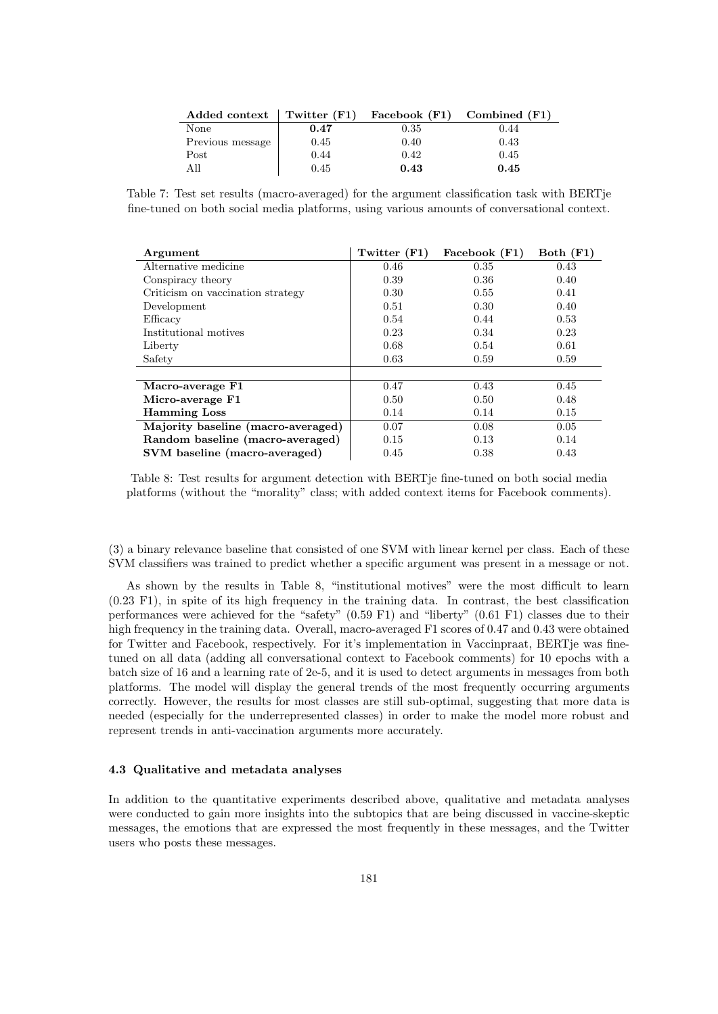<span id="page-8-0"></span>

| Added context    | Twitter $(F1)$ | Facebook $(F1)$ Combined $(F1)$ |      |
|------------------|----------------|---------------------------------|------|
| None             | 0.47           | 0.35                            | 0.44 |
| Previous message | 0.45           | 0.40                            | 0.43 |
| Post             | 0.44           | 0.42                            | 0.45 |
| All              | 0.45           | 0.43                            | 0.45 |

Table 7: Test set results (macro-averaged) for the argument classification task with BERTje fine-tuned on both social media platforms, using various amounts of conversational context.

<span id="page-8-1"></span>

| Argument                           | Twitter $(F1)$ | Facebook (F1) | Both $(F1)$ |
|------------------------------------|----------------|---------------|-------------|
| Alternative medicine               | 0.46           | 0.35          | 0.43        |
| Conspiracy theory                  | 0.39           | 0.36          | 0.40        |
| Criticism on vaccination strategy  | 0.30           | 0.55          | 0.41        |
| Development                        | 0.51           | 0.30          | 0.40        |
| Efficacy                           | 0.54           | 0.44          | 0.53        |
| Institutional motives              | 0.23           | 0.34          | 0.23        |
| Liberty                            | 0.68           | 0.54          | 0.61        |
| Safety                             | 0.63           | 0.59          | 0.59        |
|                                    |                |               |             |
| Macro-average F1                   | 0.47           | 0.43          | 0.45        |
| Micro-average F1                   | 0.50           | 0.50          | 0.48        |
| <b>Hamming Loss</b>                | 0.14           | 0.14          | 0.15        |
| Majority baseline (macro-averaged) | 0.07           | 0.08          | 0.05        |
| Random baseline (macro-averaged)   | 0.15           | 0.13          | 0.14        |
| SVM baseline (macro-averaged)      | 0.45           | 0.38          | 0.43        |

Table 8: Test results for argument detection with BERTje fine-tuned on both social media platforms (without the "morality" class; with added context items for Facebook comments).

(3) a binary relevance baseline that consisted of one SVM with linear kernel per class. Each of these SVM classifiers was trained to predict whether a specific argument was present in a message or not.

As shown by the results in Table [8,](#page-8-1) "institutional motives" were the most difficult to learn (0.23 F1), in spite of its high frequency in the training data. In contrast, the best classification performances were achieved for the "safety" (0.59 F1) and "liberty" (0.61 F1) classes due to their high frequency in the training data. Overall, macro-averaged F1 scores of 0.47 and 0.43 were obtained for Twitter and Facebook, respectively. For it's implementation in Vaccinpraat, BERTje was finetuned on all data (adding all conversational context to Facebook comments) for 10 epochs with a batch size of 16 and a learning rate of 2e-5, and it is used to detect arguments in messages from both platforms. The model will display the general trends of the most frequently occurring arguments correctly. However, the results for most classes are still sub-optimal, suggesting that more data is needed (especially for the underrepresented classes) in order to make the model more robust and represent trends in anti-vaccination arguments more accurately.

#### 4.3 Qualitative and metadata analyses

In addition to the quantitative experiments described above, qualitative and metadata analyses were conducted to gain more insights into the subtopics that are being discussed in vaccine-skeptic messages, the emotions that are expressed the most frequently in these messages, and the Twitter users who posts these messages.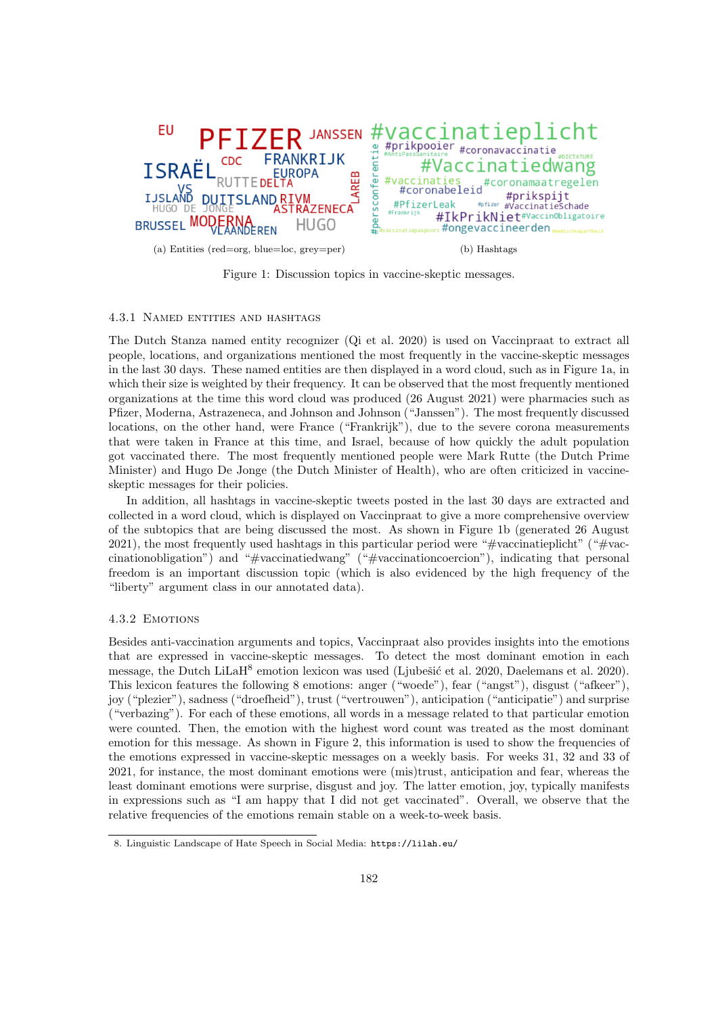<span id="page-9-1"></span><span id="page-9-0"></span>

Figure 1: Discussion topics in vaccine-skeptic messages.

#### 4.3.1 Named entities and hashtags

The Dutch Stanza named entity recognizer (Qi et al. 2020) is used on Vaccinpraat to extract all people, locations, and organizations mentioned the most frequently in the vaccine-skeptic messages in the last 30 days. These named entities are then displayed in a word cloud, such as in Figure [1a,](#page-9-0) in which their size is weighted by their frequency. It can be observed that the most frequently mentioned organizations at the time this word cloud was produced (26 August 2021) were pharmacies such as Pfizer, Moderna, Astrazeneca, and Johnson and Johnson ("Janssen"). The most frequently discussed locations, on the other hand, were France ("Frankrijk"), due to the severe corona measurements that were taken in France at this time, and Israel, because of how quickly the adult population got vaccinated there. The most frequently mentioned people were Mark Rutte (the Dutch Prime Minister) and Hugo De Jonge (the Dutch Minister of Health), who are often criticized in vaccineskeptic messages for their policies.

In addition, all hashtags in vaccine-skeptic tweets posted in the last 30 days are extracted and collected in a word cloud, which is displayed on Vaccinpraat to give a more comprehensive overview of the subtopics that are being discussed the most. As shown in Figure [1b](#page-9-1) (generated 26 August 2021), the most frequently used hashtags in this particular period were "#vaccinatieplicht" ("#vaccinationobligation") and "#vaccinatiedwang" ("#vaccinationcoercion"), indicating that personal freedom is an important discussion topic (which is also evidenced by the high frequency of the "liberty" argument class in our annotated data).

#### 4.3.2 Emotions

Besides anti-vaccination arguments and topics, Vaccinpraat also provides insights into the emotions that are expressed in vaccine-skeptic messages. To detect the most dominant emotion in each message, the Dutch LiLaH<sup>[8](#page-9-2)</sup> emotion lexicon was used (Ljubešić et al. 2020, Daelemans et al. 2020). This lexicon features the following 8 emotions: anger ("woede"), fear ("angst"), disgust ("afkeer"), joy ("plezier"), sadness ("droefheid"), trust ("vertrouwen"), anticipation ("anticipatie") and surprise ("verbazing"). For each of these emotions, all words in a message related to that particular emotion were counted. Then, the emotion with the highest word count was treated as the most dominant emotion for this message. As shown in Figure [2,](#page-10-0) this information is used to show the frequencies of the emotions expressed in vaccine-skeptic messages on a weekly basis. For weeks 31, 32 and 33 of 2021, for instance, the most dominant emotions were (mis)trust, anticipation and fear, whereas the least dominant emotions were surprise, disgust and joy. The latter emotion, joy, typically manifests in expressions such as "I am happy that I did not get vaccinated". Overall, we observe that the relative frequencies of the emotions remain stable on a week-to-week basis.

<span id="page-9-2"></span><sup>8.</sup> Linguistic Landscape of Hate Speech in Social Media: <https://lilah.eu/>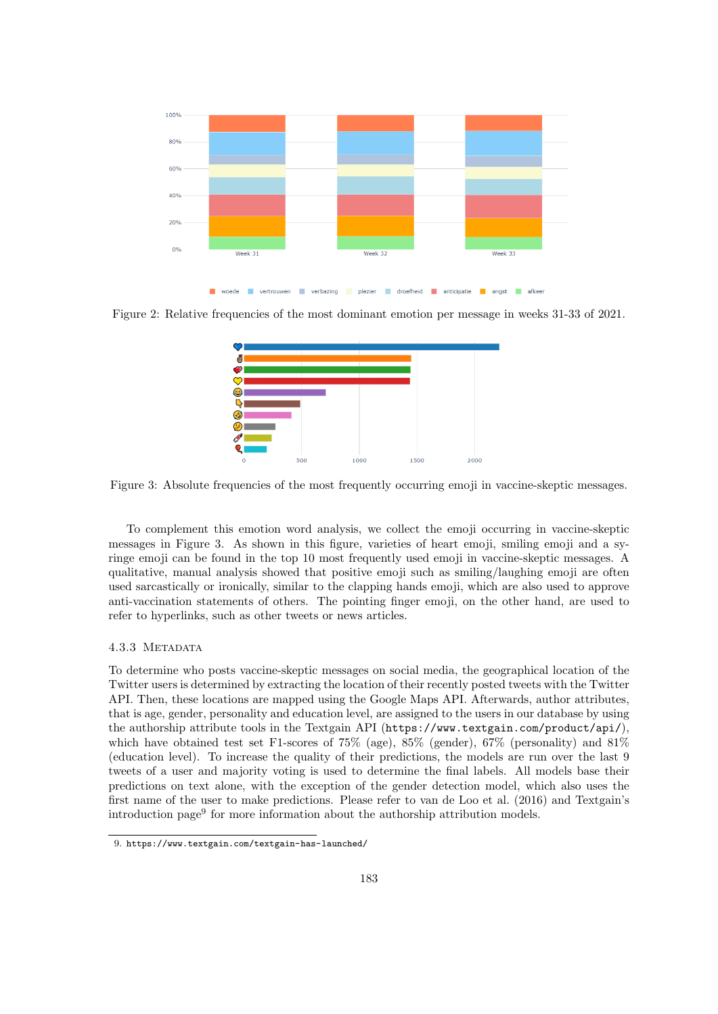<span id="page-10-0"></span>

<span id="page-10-1"></span>Figure 2: Relative frequencies of the most dominant emotion per message in weeks 31-33 of 2021.



Figure 3: Absolute frequencies of the most frequently occurring emoji in vaccine-skeptic messages.

To complement this emotion word analysis, we collect the emoji occurring in vaccine-skeptic messages in Figure [3.](#page-10-1) As shown in this figure, varieties of heart emoji, smiling emoji and a syringe emoji can be found in the top 10 most frequently used emoji in vaccine-skeptic messages. A qualitative, manual analysis showed that positive emoji such as smiling/laughing emoji are often used sarcastically or ironically, similar to the clapping hands emoji, which are also used to approve anti-vaccination statements of others. The pointing finger emoji, on the other hand, are used to refer to hyperlinks, such as other tweets or news articles.

#### 4.3.3 Metadata

To determine who posts vaccine-skeptic messages on social media, the geographical location of the Twitter users is determined by extracting the location of their recently posted tweets with the Twitter API. Then, these locations are mapped using the Google Maps API. Afterwards, author attributes, that is age, gender, personality and education level, are assigned to the users in our database by using the authorship attribute tools in the Textgain API (<https://www.textgain.com/product/api/>), which have obtained test set F1-scores of  $75\%$  (age),  $85\%$  (gender),  $67\%$  (personality) and  $81\%$ (education level). To increase the quality of their predictions, the models are run over the last 9 tweets of a user and majority voting is used to determine the final labels. All models base their predictions on text alone, with the exception of the gender detection model, which also uses the first name of the user to make predictions. Please refer to van de Loo et al. (2016) and Textgain's introduction page[9](#page-10-2) for more information about the authorship attribution models.

<span id="page-10-2"></span><sup>9.</sup> <https://www.textgain.com/textgain-has-launched/>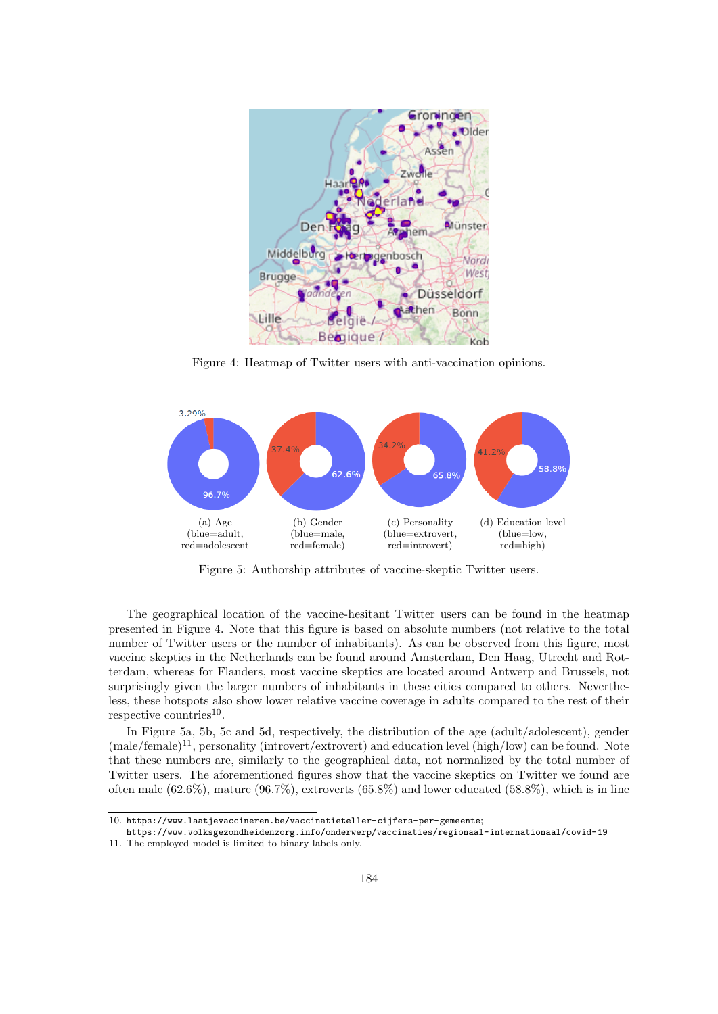<span id="page-11-0"></span>

Figure 4: Heatmap of Twitter users with anti-vaccination opinions.

<span id="page-11-2"></span>

<span id="page-11-5"></span><span id="page-11-4"></span><span id="page-11-3"></span>Figure 5: Authorship attributes of vaccine-skeptic Twitter users.

The geographical location of the vaccine-hesitant Twitter users can be found in the heatmap presented in Figure [4.](#page-11-0) Note that this figure is based on absolute numbers (not relative to the total number of Twitter users or the number of inhabitants). As can be observed from this figure, most vaccine skeptics in the Netherlands can be found around Amsterdam, Den Haag, Utrecht and Rotterdam, whereas for Flanders, most vaccine skeptics are located around Antwerp and Brussels, not surprisingly given the larger numbers of inhabitants in these cities compared to others. Nevertheless, these hotspots also show lower relative vaccine coverage in adults compared to the rest of their respective countries<sup>[10](#page-11-1)</sup>.

In Figure [5a,](#page-11-2) [5b,](#page-11-3) [5c](#page-11-4) and [5d,](#page-11-5) respectively, the distribution of the age (adult/adolescent), gender  $(male/female)^{11}$  $(male/female)^{11}$  $(male/female)^{11}$ , personality (introvert/extrovert) and education level (high/low) can be found. Note that these numbers are, similarly to the geographical data, not normalized by the total number of Twitter users. The aforementioned figures show that the vaccine skeptics on Twitter we found are often male  $(62.6\%)$ , mature  $(96.7\%)$ , extroverts  $(65.8\%)$  and lower educated  $(58.8\%)$ , which is in line

<span id="page-11-1"></span><sup>10.</sup> <https://www.laatjevaccineren.be/vaccinatieteller-cijfers-per-gemeente>;

<span id="page-11-6"></span><https://www.volksgezondheidenzorg.info/onderwerp/vaccinaties/regionaal-internationaal/covid-19> 11. The employed model is limited to binary labels only.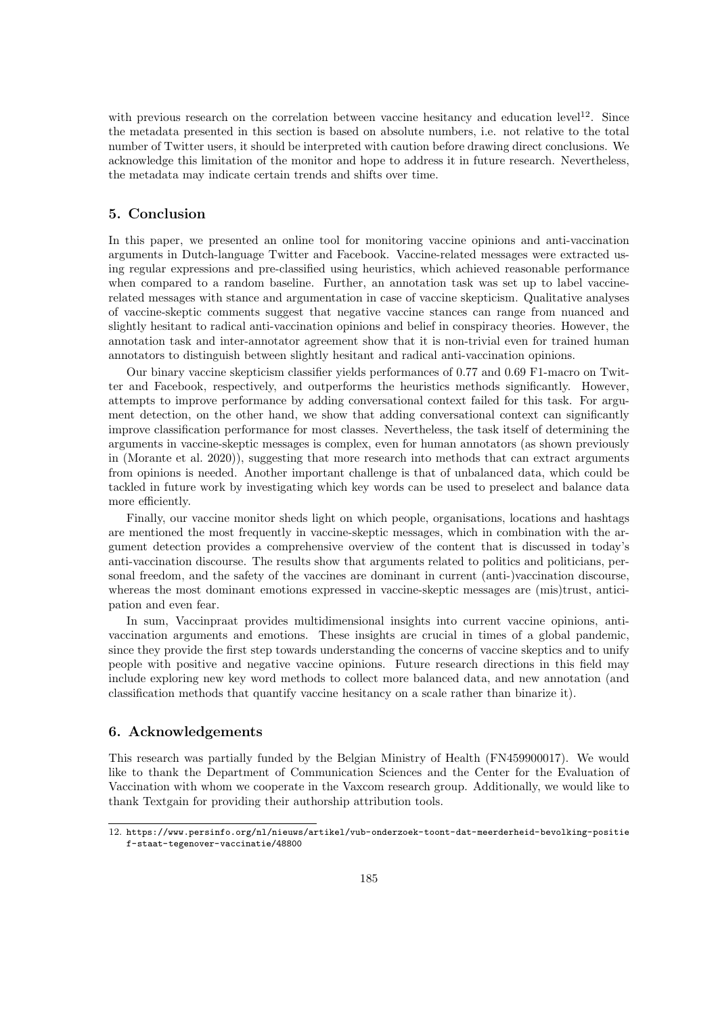with previous research on the correlation between vaccine hesitancy and education level<sup>[12](#page-12-0)</sup>. Since the metadata presented in this section is based on absolute numbers, i.e. not relative to the total number of Twitter users, it should be interpreted with caution before drawing direct conclusions. We acknowledge this limitation of the monitor and hope to address it in future research. Nevertheless, the metadata may indicate certain trends and shifts over time.

## 5. Conclusion

In this paper, we presented an online tool for monitoring vaccine opinions and anti-vaccination arguments in Dutch-language Twitter and Facebook. Vaccine-related messages were extracted using regular expressions and pre-classified using heuristics, which achieved reasonable performance when compared to a random baseline. Further, an annotation task was set up to label vaccinerelated messages with stance and argumentation in case of vaccine skepticism. Qualitative analyses of vaccine-skeptic comments suggest that negative vaccine stances can range from nuanced and slightly hesitant to radical anti-vaccination opinions and belief in conspiracy theories. However, the annotation task and inter-annotator agreement show that it is non-trivial even for trained human annotators to distinguish between slightly hesitant and radical anti-vaccination opinions.

Our binary vaccine skepticism classifier yields performances of 0.77 and 0.69 F1-macro on Twitter and Facebook, respectively, and outperforms the heuristics methods significantly. However, attempts to improve performance by adding conversational context failed for this task. For argument detection, on the other hand, we show that adding conversational context can significantly improve classification performance for most classes. Nevertheless, the task itself of determining the arguments in vaccine-skeptic messages is complex, even for human annotators (as shown previously in (Morante et al. 2020)), suggesting that more research into methods that can extract arguments from opinions is needed. Another important challenge is that of unbalanced data, which could be tackled in future work by investigating which key words can be used to preselect and balance data more efficiently.

Finally, our vaccine monitor sheds light on which people, organisations, locations and hashtags are mentioned the most frequently in vaccine-skeptic messages, which in combination with the argument detection provides a comprehensive overview of the content that is discussed in today's anti-vaccination discourse. The results show that arguments related to politics and politicians, personal freedom, and the safety of the vaccines are dominant in current (anti-)vaccination discourse, whereas the most dominant emotions expressed in vaccine-skeptic messages are (mis)trust, anticipation and even fear.

In sum, Vaccinpraat provides multidimensional insights into current vaccine opinions, antivaccination arguments and emotions. These insights are crucial in times of a global pandemic, since they provide the first step towards understanding the concerns of vaccine skeptics and to unify people with positive and negative vaccine opinions. Future research directions in this field may include exploring new key word methods to collect more balanced data, and new annotation (and classification methods that quantify vaccine hesitancy on a scale rather than binarize it).

## 6. Acknowledgements

This research was partially funded by the Belgian Ministry of Health (FN459900017). We would like to thank the Department of Communication Sciences and the Center for the Evaluation of Vaccination with whom we cooperate in the Vaxcom research group. Additionally, we would like to thank Textgain for providing their authorship attribution tools.

<span id="page-12-0"></span><sup>12.</sup> [https://www.persinfo.org/nl/nieuws/artikel/vub-onderzoek-toont-dat-meerderheid-bevolking-positie](https://www.persinfo.org/nl/nieuws/artikel/vub-onderzoek-toont-dat-meerderheid-bevolking-positief-staat-tegenover-vaccinatie/48800) [f-staat-tegenover-vaccinatie/48800](https://www.persinfo.org/nl/nieuws/artikel/vub-onderzoek-toont-dat-meerderheid-bevolking-positief-staat-tegenover-vaccinatie/48800)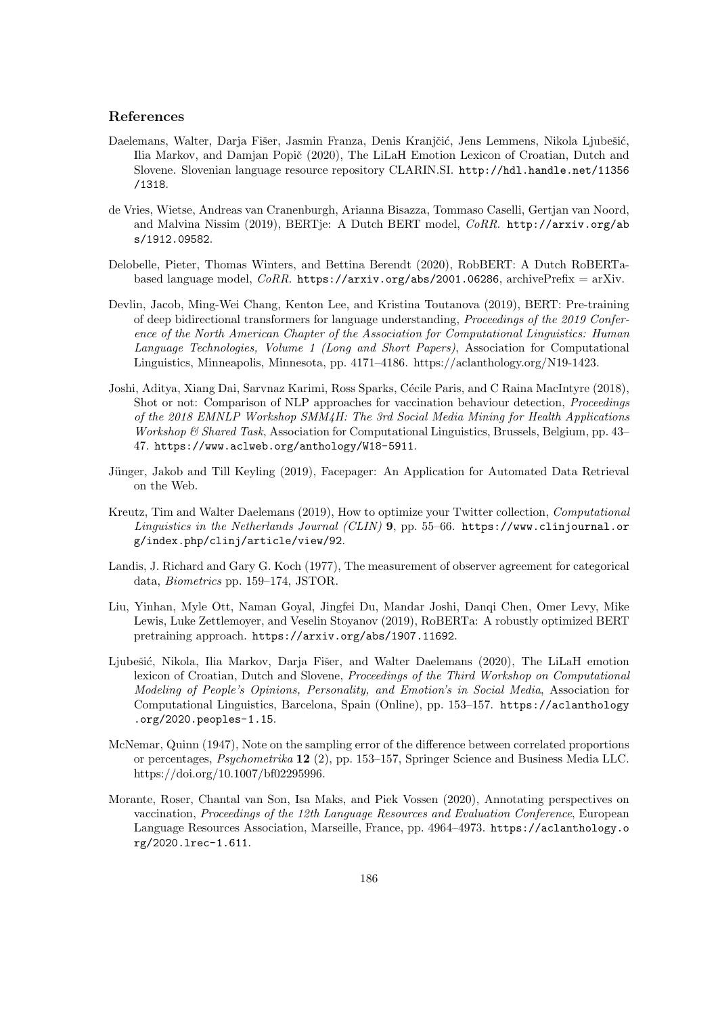## References

- Daelemans, Walter, Darja Fišer, Jasmin Franza, Denis Kranjčić, Jens Lemmens, Nikola Ljubešić, Ilia Markov, and Damjan Popič (2020), The LiLaH Emotion Lexicon of Croatian, Dutch and Slovene. Slovenian language resource repository CLARIN.SI. [http://hdl.handle.net/11356](http://hdl.handle.net/11356/1318) [/1318](http://hdl.handle.net/11356/1318).
- de Vries, Wietse, Andreas van Cranenburgh, Arianna Bisazza, Tommaso Caselli, Gertjan van Noord, and Malvina Nissim (2019), BERTje: A Dutch BERT model, CoRR. [http://arxiv.org/ab](http://arxiv.org/abs/1912.09582) [s/1912.09582](http://arxiv.org/abs/1912.09582).
- Delobelle, Pieter, Thomas Winters, and Bettina Berendt (2020), RobBERT: A Dutch RoBERTabased language model,  $CoRR$ . <https://arxiv.org/abs/2001.06286>, archivePrefix = arXiv.
- Devlin, Jacob, Ming-Wei Chang, Kenton Lee, and Kristina Toutanova (2019), BERT: Pre-training of deep bidirectional transformers for language understanding, Proceedings of the 2019 Conference of the North American Chapter of the Association for Computational Linguistics: Human Language Technologies, Volume 1 (Long and Short Papers), Association for Computational Linguistics, Minneapolis, Minnesota, pp. 4171–4186. https://aclanthology.org/N19-1423.
- Joshi, Aditya, Xiang Dai, Sarvnaz Karimi, Ross Sparks, Cécile Paris, and C Raina MacIntyre (2018), Shot or not: Comparison of NLP approaches for vaccination behaviour detection, Proceedings of the 2018 EMNLP Workshop SMM4H: The 3rd Social Media Mining for Health Applications Workshop & Shared Task, Association for Computational Linguistics, Brussels, Belgium, pp. 43– 47. <https://www.aclweb.org/anthology/W18-5911>.
- Jünger, Jakob and Till Keyling (2019), Facepager: An Application for Automated Data Retrieval on the Web.
- Kreutz, Tim and Walter Daelemans (2019), How to optimize your Twitter collection, Computational Linguistics in the Netherlands Journal (CLIN) 9, pp. 55–66. [https://www.clinjournal.or](https://www.clinjournal.org/index.php/clinj/article/view/92) [g/index.php/clinj/article/view/92](https://www.clinjournal.org/index.php/clinj/article/view/92).
- Landis, J. Richard and Gary G. Koch (1977), The measurement of observer agreement for categorical data, Biometrics pp. 159–174, JSTOR.
- Liu, Yinhan, Myle Ott, Naman Goyal, Jingfei Du, Mandar Joshi, Danqi Chen, Omer Levy, Mike Lewis, Luke Zettlemoyer, and Veselin Stoyanov (2019), RoBERTa: A robustly optimized BERT pretraining approach. <https://arxiv.org/abs/1907.11692>.
- Ljubešić, Nikola, Ilia Markov, Darja Fišer, and Walter Daelemans (2020), The LiLaH emotion lexicon of Croatian, Dutch and Slovene, Proceedings of the Third Workshop on Computational Modeling of People's Opinions, Personality, and Emotion's in Social Media, Association for Computational Linguistics, Barcelona, Spain (Online), pp. 153–157. [https://aclanthology](https://aclanthology.org/2020.peoples-1.15) [.org/2020.peoples-1.15](https://aclanthology.org/2020.peoples-1.15).
- McNemar, Quinn (1947), Note on the sampling error of the difference between correlated proportions or percentages, Psychometrika 12 (2), pp. 153–157, Springer Science and Business Media LLC. https://doi.org/10.1007/bf02295996.
- Morante, Roser, Chantal van Son, Isa Maks, and Piek Vossen (2020), Annotating perspectives on vaccination, Proceedings of the 12th Language Resources and Evaluation Conference, European Language Resources Association, Marseille, France, pp. 4964–4973. [https://aclanthology.o](https://aclanthology.org/2020.lrec-1.611) [rg/2020.lrec-1.611](https://aclanthology.org/2020.lrec-1.611).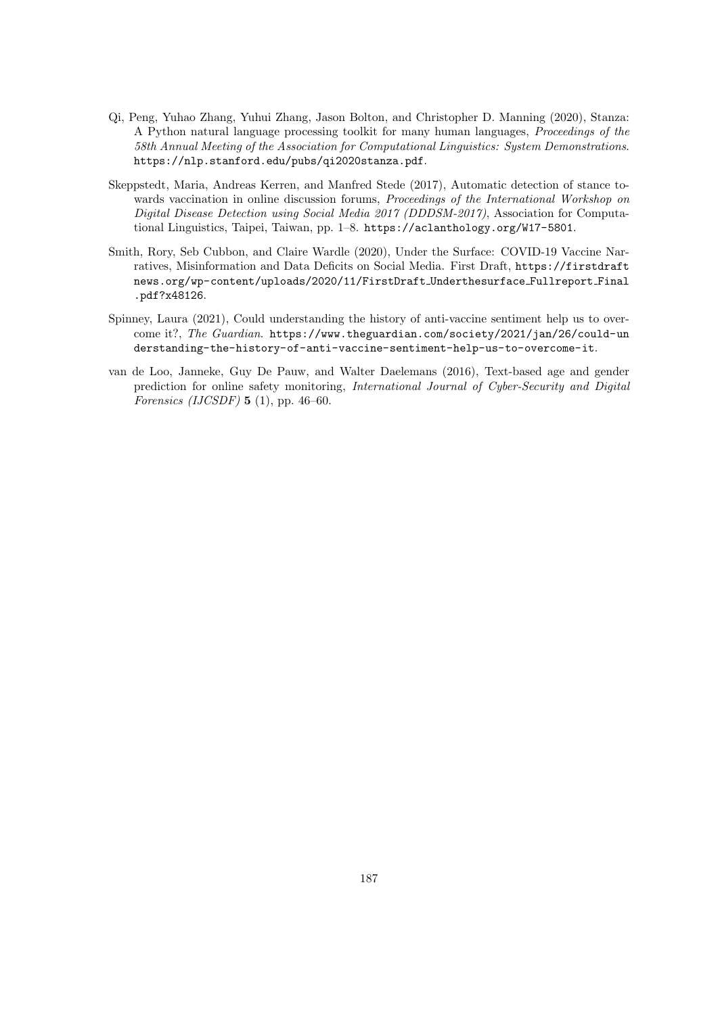- Qi, Peng, Yuhao Zhang, Yuhui Zhang, Jason Bolton, and Christopher D. Manning (2020), Stanza: A Python natural language processing toolkit for many human languages, Proceedings of the 58th Annual Meeting of the Association for Computational Linguistics: System Demonstrations. <https://nlp.stanford.edu/pubs/qi2020stanza.pdf>.
- Skeppstedt, Maria, Andreas Kerren, and Manfred Stede (2017), Automatic detection of stance towards vaccination in online discussion forums, *Proceedings of the International Workshop on* Digital Disease Detection using Social Media 2017 (DDDSM-2017), Association for Computational Linguistics, Taipei, Taiwan, pp. 1–8. <https://aclanthology.org/W17-5801>.
- Smith, Rory, Seb Cubbon, and Claire Wardle (2020), Under the Surface: COVID-19 Vaccine Narratives, Misinformation and Data Deficits on Social Media. First Draft, [https://firstdraft](https://firstdraftnews.org/wp-content/uploads/2020/11/FirstDraft_Underthesurface_Fullreport_Final.pdf?x48126) [news.org/wp-content/uploads/2020/11/FirstDraft](https://firstdraftnews.org/wp-content/uploads/2020/11/FirstDraft_Underthesurface_Fullreport_Final.pdf?x48126) Underthesurface Fullreport Final [.pdf?x48126](https://firstdraftnews.org/wp-content/uploads/2020/11/FirstDraft_Underthesurface_Fullreport_Final.pdf?x48126).
- Spinney, Laura (2021), Could understanding the history of anti-vaccine sentiment help us to overcome it?, The Guardian. [https://www.theguardian.com/society/2021/jan/26/could-un](https://www.theguardian.com/society/2021/jan/26/could-understanding-the-history-of-anti-vaccine-sentiment-help-us-to-overcome-it) [derstanding-the-history-of-anti-vaccine-sentiment-help-us-to-overcome-it](https://www.theguardian.com/society/2021/jan/26/could-understanding-the-history-of-anti-vaccine-sentiment-help-us-to-overcome-it).
- van de Loo, Janneke, Guy De Pauw, and Walter Daelemans (2016), Text-based age and gender prediction for online safety monitoring, International Journal of Cyber-Security and Digital Forensics (IJCSDF)  $5$  (1), pp. 46–60.